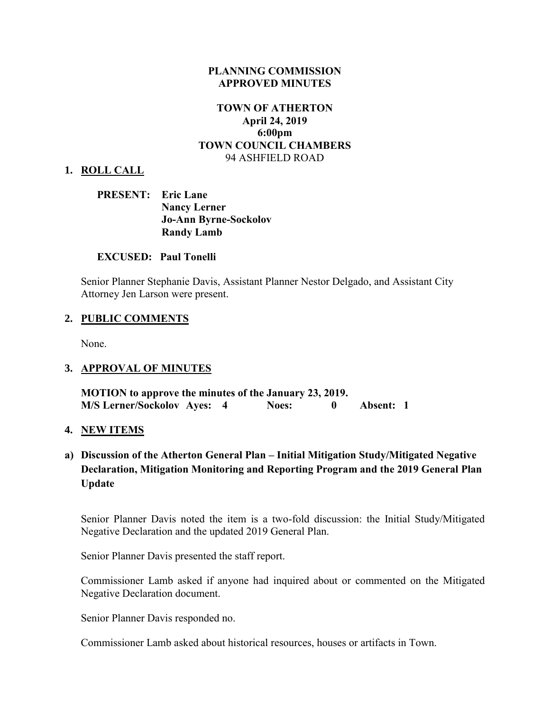### **PLANNING COMMISSION APPROVED MINUTES**

### **TOWN OF ATHERTON April 24, 2019 6:00pm TOWN COUNCIL CHAMBERS** 94 ASHFIELD ROAD

#### **1. ROLL CALL**

### **PRESENT: Eric Lane Nancy Lerner Jo-Ann Byrne-Sockolov Randy Lamb**

### **EXCUSED: Paul Tonelli**

Senior Planner Stephanie Davis, Assistant Planner Nestor Delgado, and Assistant City Attorney Jen Larson were present.

#### **2. PUBLIC COMMENTS**

None.

### **3. APPROVAL OF MINUTES**

**MOTION to approve the minutes of the January 23, 2019. M/S Lerner/Sockolov Ayes: 4 Noes: 0 Absent: 1** 

#### **4. NEW ITEMS**

## **a) Discussion of the Atherton General Plan – Initial Mitigation Study/Mitigated Negative Declaration, Mitigation Monitoring and Reporting Program and the 2019 General Plan Update**

Senior Planner Davis noted the item is a two-fold discussion: the Initial Study/Mitigated Negative Declaration and the updated 2019 General Plan.

Senior Planner Davis presented the staff report.

Commissioner Lamb asked if anyone had inquired about or commented on the Mitigated Negative Declaration document.

Senior Planner Davis responded no.

Commissioner Lamb asked about historical resources, houses or artifacts in Town.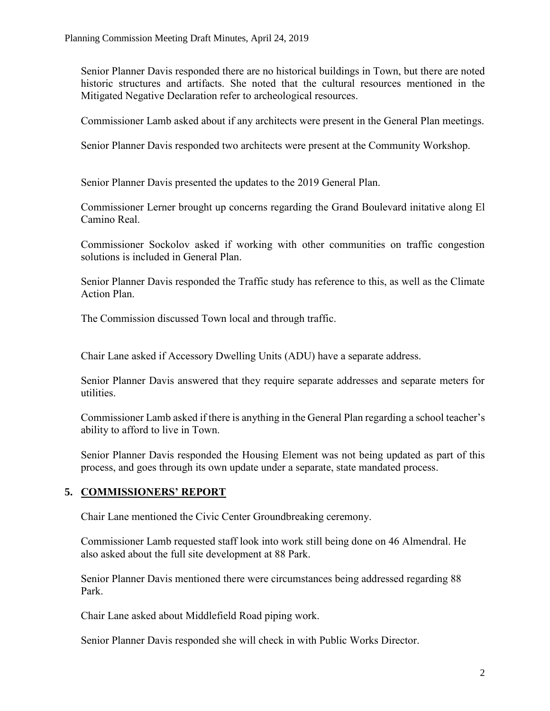Senior Planner Davis responded there are no historical buildings in Town, but there are noted historic structures and artifacts. She noted that the cultural resources mentioned in the Mitigated Negative Declaration refer to archeological resources.

Commissioner Lamb asked about if any architects were present in the General Plan meetings.

Senior Planner Davis responded two architects were present at the Community Workshop.

Senior Planner Davis presented the updates to the 2019 General Plan.

Commissioner Lerner brought up concerns regarding the Grand Boulevard initative along El Camino Real.

Commissioner Sockolov asked if working with other communities on traffic congestion solutions is included in General Plan.

Senior Planner Davis responded the Traffic study has reference to this, as well as the Climate Action Plan.

The Commission discussed Town local and through traffic.

Chair Lane asked if Accessory Dwelling Units (ADU) have a separate address.

Senior Planner Davis answered that they require separate addresses and separate meters for utilities.

Commissioner Lamb asked if there is anything in the General Plan regarding a school teacher's ability to afford to live in Town.

Senior Planner Davis responded the Housing Element was not being updated as part of this process, and goes through its own update under a separate, state mandated process.

# **5. COMMISSIONERS' REPORT**

Chair Lane mentioned the Civic Center Groundbreaking ceremony.

Commissioner Lamb requested staff look into work still being done on 46 Almendral. He also asked about the full site development at 88 Park.

Senior Planner Davis mentioned there were circumstances being addressed regarding 88 Park.

Chair Lane asked about Middlefield Road piping work.

Senior Planner Davis responded she will check in with Public Works Director.